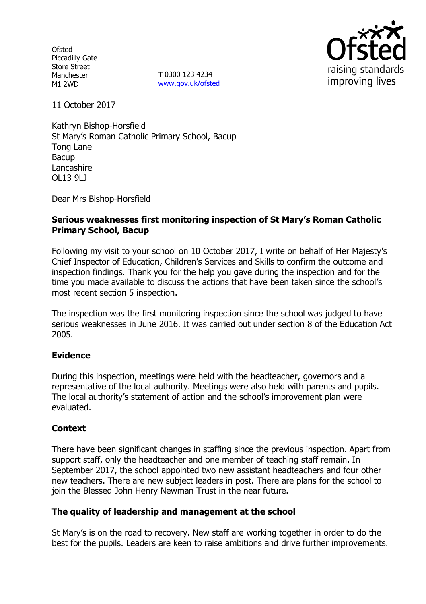**Ofsted** Piccadilly Gate Store Street Manchester M1 2WD

**T** 0300 123 4234 www.gov.uk/ofsted



11 October 2017

Kathryn Bishop-Horsfield St Mary's Roman Catholic Primary School, Bacup Tong Lane Bacup **Lancashire** OL13 9LJ

Dear Mrs Bishop-Horsfield

## **Serious weaknesses first monitoring inspection of St Mary's Roman Catholic Primary School, Bacup**

Following my visit to your school on 10 October 2017, I write on behalf of Her Majesty's Chief Inspector of Education, Children's Services and Skills to confirm the outcome and inspection findings. Thank you for the help you gave during the inspection and for the time you made available to discuss the actions that have been taken since the school's most recent section 5 inspection.

The inspection was the first monitoring inspection since the school was judged to have serious weaknesses in June 2016. It was carried out under section 8 of the Education Act 2005.

## **Evidence**

During this inspection, meetings were held with the headteacher, governors and a representative of the local authority. Meetings were also held with parents and pupils. The local authority's statement of action and the school's improvement plan were evaluated.

## **Context**

There have been significant changes in staffing since the previous inspection. Apart from support staff, only the headteacher and one member of teaching staff remain. In September 2017, the school appointed two new assistant headteachers and four other new teachers. There are new subject leaders in post. There are plans for the school to join the Blessed John Henry Newman Trust in the near future.

## **The quality of leadership and management at the school**

St Mary's is on the road to recovery. New staff are working together in order to do the best for the pupils. Leaders are keen to raise ambitions and drive further improvements.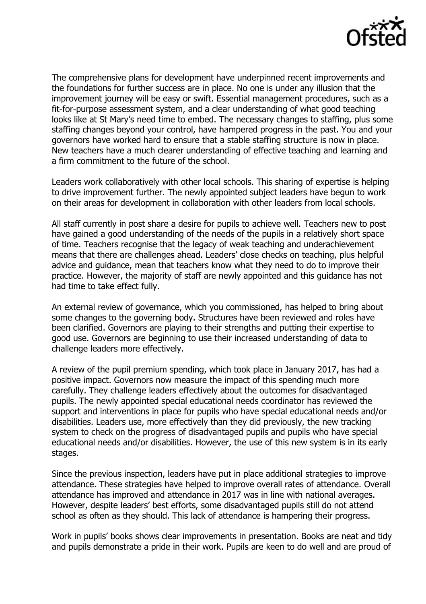

The comprehensive plans for development have underpinned recent improvements and the foundations for further success are in place. No one is under any illusion that the improvement journey will be easy or swift. Essential management procedures, such as a fit-for-purpose assessment system, and a clear understanding of what good teaching looks like at St Mary's need time to embed. The necessary changes to staffing, plus some staffing changes beyond your control, have hampered progress in the past. You and your governors have worked hard to ensure that a stable staffing structure is now in place. New teachers have a much clearer understanding of effective teaching and learning and a firm commitment to the future of the school.

Leaders work collaboratively with other local schools. This sharing of expertise is helping to drive improvement further. The newly appointed subject leaders have begun to work on their areas for development in collaboration with other leaders from local schools.

All staff currently in post share a desire for pupils to achieve well. Teachers new to post have gained a good understanding of the needs of the pupils in a relatively short space of time. Teachers recognise that the legacy of weak teaching and underachievement means that there are challenges ahead. Leaders' close checks on teaching, plus helpful advice and guidance, mean that teachers know what they need to do to improve their practice. However, the majority of staff are newly appointed and this guidance has not had time to take effect fully.

An external review of governance, which you commissioned, has helped to bring about some changes to the governing body. Structures have been reviewed and roles have been clarified. Governors are playing to their strengths and putting their expertise to good use. Governors are beginning to use their increased understanding of data to challenge leaders more effectively.

A review of the pupil premium spending, which took place in January 2017, has had a positive impact. Governors now measure the impact of this spending much more carefully. They challenge leaders effectively about the outcomes for disadvantaged pupils. The newly appointed special educational needs coordinator has reviewed the support and interventions in place for pupils who have special educational needs and/or disabilities. Leaders use, more effectively than they did previously, the new tracking system to check on the progress of disadvantaged pupils and pupils who have special educational needs and/or disabilities. However, the use of this new system is in its early stages.

Since the previous inspection, leaders have put in place additional strategies to improve attendance. These strategies have helped to improve overall rates of attendance. Overall attendance has improved and attendance in 2017 was in line with national averages. However, despite leaders' best efforts, some disadvantaged pupils still do not attend school as often as they should. This lack of attendance is hampering their progress.

Work in pupils' books shows clear improvements in presentation. Books are neat and tidy and pupils demonstrate a pride in their work. Pupils are keen to do well and are proud of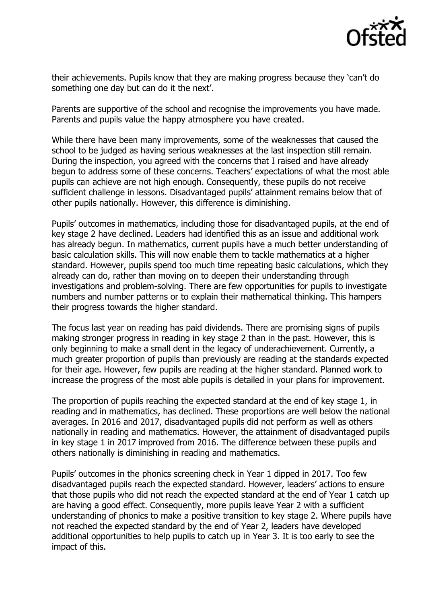

their achievements. Pupils know that they are making progress because they 'can't do something one day but can do it the next'.

Parents are supportive of the school and recognise the improvements you have made. Parents and pupils value the happy atmosphere you have created.

While there have been many improvements, some of the weaknesses that caused the school to be judged as having serious weaknesses at the last inspection still remain. During the inspection, you agreed with the concerns that I raised and have already begun to address some of these concerns. Teachers' expectations of what the most able pupils can achieve are not high enough. Consequently, these pupils do not receive sufficient challenge in lessons. Disadvantaged pupils' attainment remains below that of other pupils nationally. However, this difference is diminishing.

Pupils' outcomes in mathematics, including those for disadvantaged pupils, at the end of key stage 2 have declined. Leaders had identified this as an issue and additional work has already begun. In mathematics, current pupils have a much better understanding of basic calculation skills. This will now enable them to tackle mathematics at a higher standard. However, pupils spend too much time repeating basic calculations, which they already can do, rather than moving on to deepen their understanding through investigations and problem-solving. There are few opportunities for pupils to investigate numbers and number patterns or to explain their mathematical thinking. This hampers their progress towards the higher standard.

The focus last year on reading has paid dividends. There are promising signs of pupils making stronger progress in reading in key stage 2 than in the past. However, this is only beginning to make a small dent in the legacy of underachievement. Currently, a much greater proportion of pupils than previously are reading at the standards expected for their age. However, few pupils are reading at the higher standard. Planned work to increase the progress of the most able pupils is detailed in your plans for improvement.

The proportion of pupils reaching the expected standard at the end of key stage 1, in reading and in mathematics, has declined. These proportions are well below the national averages. In 2016 and 2017, disadvantaged pupils did not perform as well as others nationally in reading and mathematics. However, the attainment of disadvantaged pupils in key stage 1 in 2017 improved from 2016. The difference between these pupils and others nationally is diminishing in reading and mathematics.

Pupils' outcomes in the phonics screening check in Year 1 dipped in 2017. Too few disadvantaged pupils reach the expected standard. However, leaders' actions to ensure that those pupils who did not reach the expected standard at the end of Year 1 catch up are having a good effect. Consequently, more pupils leave Year 2 with a sufficient understanding of phonics to make a positive transition to key stage 2. Where pupils have not reached the expected standard by the end of Year 2, leaders have developed additional opportunities to help pupils to catch up in Year 3. It is too early to see the impact of this.